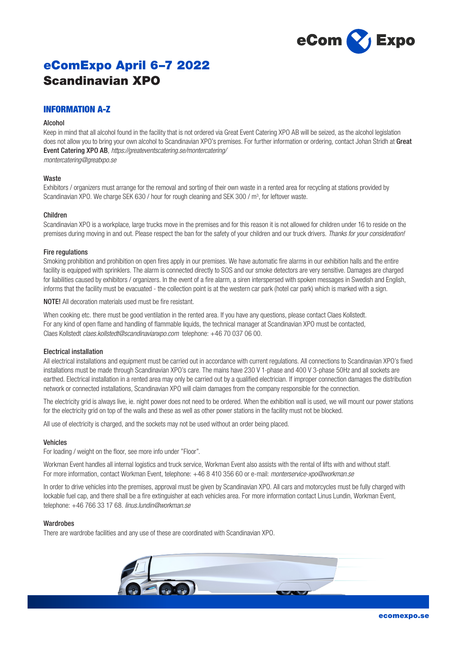

# eComExpo April 6–7 2022 Scandinavian XPO

# INFORMATION A-Z

# Alcohol

Keep in mind that all alcohol found in the facility that is not ordered via Great Event Catering XPO AB will be seized, as the alcohol legislation does not allow you to bring your own alcohol to Scandinavian XPO's premises. For further information or ordering, contact Johan Stridh at Great Event Catering XPO AB, *https://greateventscatering.se/montercatering/*

*montercatering@greatxpo.se*

# Waste

Exhibitors / organizers must arrange for the removal and sorting of their own waste in a rented area for recycling at stations provided by Scandinavian XPO. We charge SEK 630 / hour for rough cleaning and SEK 300 / m<sup>3</sup>, for leftover waste.

# Children

Scandinavian XPO is a workplace, large trucks move in the premises and for this reason it is not allowed for children under 16 to reside on the premises during moving in and out. Please respect the ban for the safety of your children and our truck drivers. *Thanks for your consideration!*

# Fire regulations

Smoking prohibition and prohibition on open fires apply in our premises. We have automatic fire alarms in our exhibition halls and the entire facility is equipped with sprinklers. The alarm is connected directly to SOS and our smoke detectors are very sensitive. Damages are charged for liabilities caused by exhibitors / organizers. In the event of a fire alarm, a siren interspersed with spoken messages in Swedish and English, informs that the facility must be evacuated - the collection point is at the western car park (hotel car park) which is marked with a sign.

NOTE! All decoration materials used must be fire resistant.

When cooking etc. there must be good ventilation in the rented area. If you have any questions, please contact Claes Kollstedt. For any kind of open flame and handling of flammable liquids, the technical manager at Scandinavian XPO must be contacted, Claes Kollstedt *claes.kollstedt@scandinavianxpo.com* telephone: +46 70 037 06 00.

# Electrical installation

All electrical installations and equipment must be carried out in accordance with current regulations. All connections to Scandinavian XPO's fixed installations must be made through Scandinavian XPO's care. The mains have 230 V 1-phase and 400 V 3-phase 50Hz and all sockets are earthed. Electrical installation in a rented area may only be carried out by a qualified electrician. If improper connection damages the distribution network or connected installations, Scandinavian XPO will claim damages from the company responsible for the connection.

The electricity grid is always live, ie. night power does not need to be ordered. When the exhibition wall is used, we will mount our power stations for the electricity grid on top of the walls and these as well as other power stations in the facility must not be blocked.

All use of electricity is charged, and the sockets may not be used without an order being placed.

## Vehicles

For loading / weight on the floor, see more info under "Floor".

Workman Event handles all internal logistics and truck service, Workman Event also assists with the rental of lifts with and without staff. For more information, contact Workman Event, telephone: +46 8 410 356 60 or e-mail: *monterservice-xpo@workman.se*

In order to drive vehicles into the premises, approval must be given by Scandinavian XPO. All cars and motorcycles must be fully charged with lockable fuel cap, and there shall be a fire extinguisher at each vehicles area. For more information contact Linus Lundin, Workman Event, telephone: +46 766 33 17 68. *linus.lundin@workman.se*

## Wardrobes

There are wardrobe facilities and any use of these are coordinated with Scandinavian XPO.

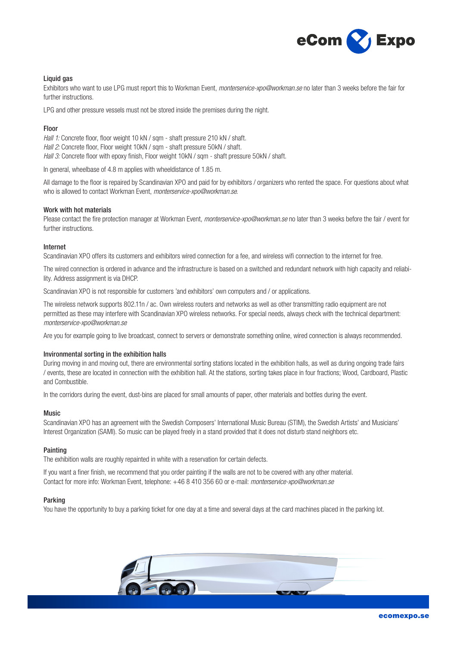

# Liquid gas

Exhibitors who want to use LPG must report this to Workman Event, *monterservice-xpo@workman.se* no later than 3 weeks before the fair for further instructions.

LPG and other pressure vessels must not be stored inside the premises during the night.

# Floor

*Hall 1:* Concrete floor, floor weight 10 kN / sqm - shaft pressure 210 kN / shaft. *Hall 2:* Concrete floor, Floor weight 10kN / sqm - shaft pressure 50kN / shaft. *Hall 3:* Concrete floor with epoxy finish, Floor weight 10kN / sqm - shaft pressure 50kN / shaft.

In general, wheelbase of 4.8 m applies with wheeldistance of 1.85 m.

All damage to the floor is repaired by Scandinavian XPO and paid for by exhibitors / organizers who rented the space. For questions about what who is allowed to contact Workman Event, *monterservice-xpo@workman.se*.

## Work with hot materials

Please contact the fire protection manager at Workman Event, *monterservice-xpo@workman.se* no later than 3 weeks before the fair / event for further instructions.

# Internet

Scandinavian XPO offers its customers and exhibitors wired connection for a fee, and wireless wifi connection to the internet for free.

The wired connection is ordered in advance and the infrastructure is based on a switched and redundant network with high capacity and reliability. Address assignment is via DHCP.

Scandinavian XPO is not responsible for customers 'and exhibitors' own computers and / or applications.

The wireless network supports 802.11n / ac. Own wireless routers and networks as well as other transmitting radio equipment are not permitted as these may interfere with Scandinavian XPO wireless networks. For special needs, always check with the technical department: *monterservice-xpo@workman.se*

Are you for example going to live broadcast, connect to servers or demonstrate something online, wired connection is always recommended.

## Invironmental sorting in the exhibition halls

During moving in and moving out, there are environmental sorting stations located in the exhibition halls, as well as during ongoing trade fairs / events, these are located in connection with the exhibition hall. At the stations, sorting takes place in four fractions; Wood, Cardboard, Plastic and Combustible.

In the corridors during the event, dust-bins are placed for small amounts of paper, other materials and bottles during the event.

## Music

Scandinavian XPO has an agreement with the Swedish Composers' International Music Bureau (STIM), the Swedish Artists' and Musicians' Interest Organization (SAMI). So music can be played freely in a stand provided that it does not disturb stand neighbors etc.

## Painting

The exhibition walls are roughly repainted in white with a reservation for certain defects.

If you want a finer finish, we recommend that you order painting if the walls are not to be covered with any other material. Contact for more info: Workman Event, telephone: +46 8 410 356 60 or e-mail: *monterservice-xpo@workman.se* 

## Parking

You have the opportunity to buy a parking ticket for one day at a time and several days at the card machines placed in the parking lot.